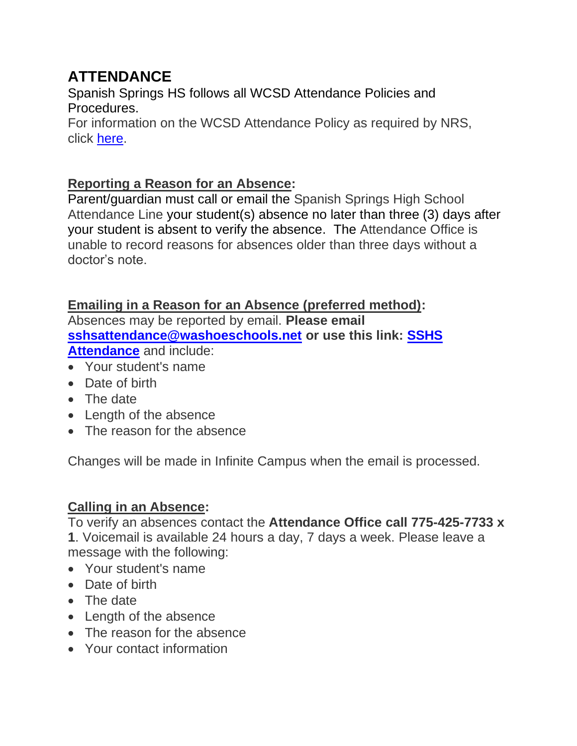# **ATTENDANCE**

Spanish Springs HS follows all WCSD Attendance Policies and Procedures.

For information on the WCSD Attendance Policy as required by NRS, click [here.](https://www.washoeschools.net/Page/16915)

## **Reporting a Reason for an Absence:**

Parent/guardian must call or email the Spanish Springs High School Attendance Line your student(s) absence no later than three (3) days after your student is absent to verify the absence. The Attendance Office is unable to record reasons for absences older than three days without a doctor's note.

# **Emailing in a Reason for an Absence (preferred method):**

Absences may be reported by email. **Please email [sshsattendance@washoeschools.net](mailto:sshsattendance@washoeschools.net) or use this link: [SSHS](mailto:sshsattendance@washoeschools.net)  [Attendance](mailto:sshsattendance@washoeschools.net)** and include:

- Your student's name
- Date of birth
- The date
- Length of the absence
- The reason for the absence

Changes will be made in Infinite Campus when the email is processed.

# **Calling in an Absence:**

To verify an absences contact the **Attendance Office call 775-425-7733 x** 

**1**. Voicemail is available 24 hours a day, 7 days a week. Please leave a message with the following:

- Your student's name
- Date of birth
- The date
- Length of the absence
- The reason for the absence
- Your contact information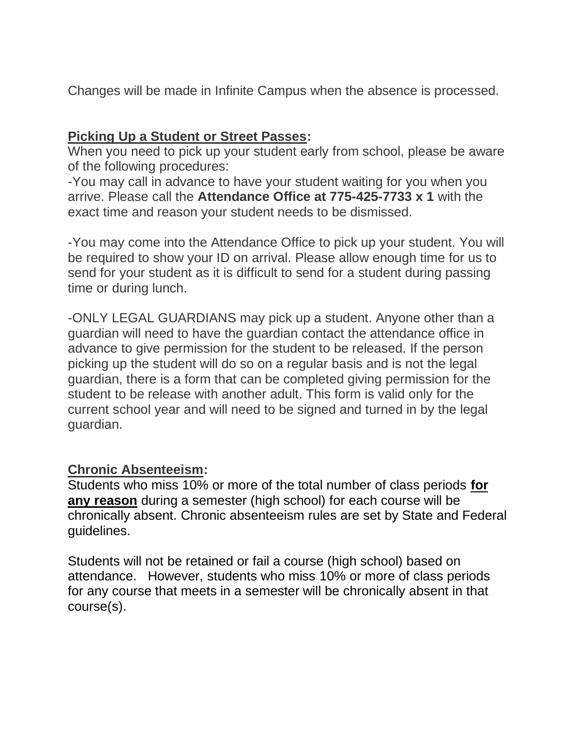Changes will be made in Infinite Campus when the absence is processed.

## **Picking Up a Student or Street Passes:**

When you need to pick up your student early from school, please be aware of the following procedures:

-You may call in advance to have your student waiting for you when you arrive. Please call the **Attendance Office at 775-425-7733 x 1** with the exact time and reason your student needs to be dismissed.

-You may come into the Attendance Office to pick up your student. You will be required to show your ID on arrival. Please allow enough time for us to send for your student as it is difficult to send for a student during passing time or during lunch.

-ONLY LEGAL GUARDIANS may pick up a student. Anyone other than a guardian will need to have the guardian contact the attendance office in advance to give permission for the student to be released. If the person picking up the student will do so on a regular basis and is not the legal guardian, there is a form that can be completed giving permission for the student to be release with another adult. This form is valid only for the current school year and will need to be signed and turned in by the legal guardian.

#### **Chronic Absenteeism:**

Students who miss 10% or more of the total number of class periods **for any reason** during a semester (high school) for each course will be chronically absent. Chronic absenteeism rules are set by State and Federal guidelines.

Students will not be retained or fail a course (high school) based on attendance. However, students who miss 10% or more of class periods for any course that meets in a semester will be chronically absent in that course(s).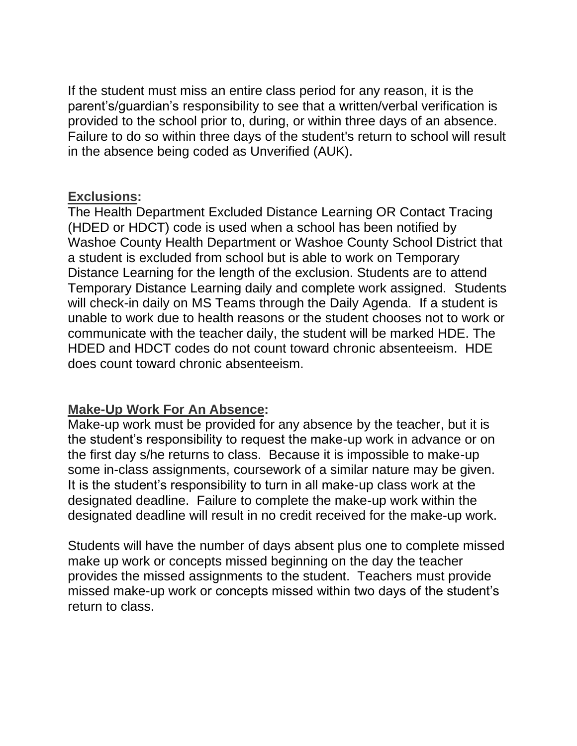If the student must miss an entire class period for any reason, it is the parent's/guardian's responsibility to see that a written/verbal verification is provided to the school prior to, during, or within three days of an absence. Failure to do so within three days of the student's return to school will result in the absence being coded as Unverified (AUK).

#### **Exclusions:**

The Health Department Excluded Distance Learning OR Contact Tracing (HDED or HDCT) code is used when a school has been notified by Washoe County Health Department or Washoe County School District that a student is excluded from school but is able to work on Temporary Distance Learning for the length of the exclusion. Students are to attend Temporary Distance Learning daily and complete work assigned. Students will check-in daily on MS Teams through the Daily Agenda. If a student is unable to work due to health reasons or the student chooses not to work or communicate with the teacher daily, the student will be marked HDE. The HDED and HDCT codes do not count toward chronic absenteeism. HDE does count toward chronic absenteeism.

#### **Make-Up Work For An Absence:**

Make-up work must be provided for any absence by the teacher, but it is the student's responsibility to request the make-up work in advance or on the first day s/he returns to class. Because it is impossible to make-up some in-class assignments, coursework of a similar nature may be given. It is the student's responsibility to turn in all make-up class work at the designated deadline. Failure to complete the make-up work within the designated deadline will result in no credit received for the make-up work.

Students will have the number of days absent plus one to complete missed make up work or concepts missed beginning on the day the teacher provides the missed assignments to the student. Teachers must provide missed make-up work or concepts missed within two days of the student's return to class.